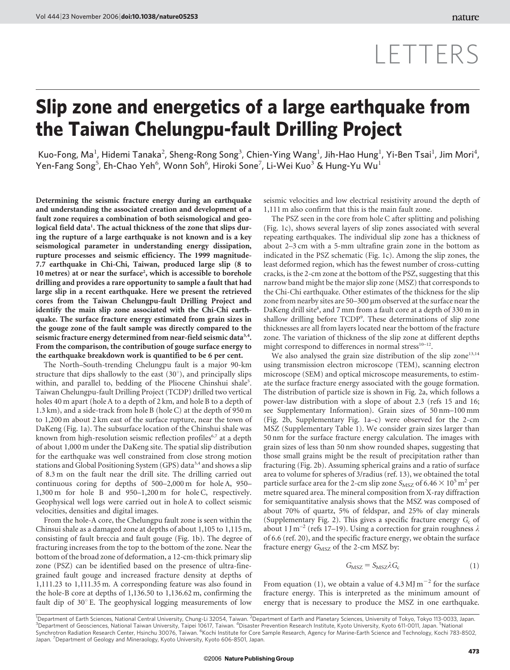## LETTERS

## Slip zone and energetics of a large earthquake from the Taiwan Chelungpu-fault Drilling Project

Kuo-Fong, Ma<sup>1</sup>, Hidemi Tanaka<sup>2</sup>, Sheng-Rong Song<sup>3</sup>, Chien-Ying Wang<sup>1</sup>, Jih-Hao Hung<sup>1</sup>, Yi-Ben Tsai<sup>1</sup>, Jim Mori<sup>4</sup>, Yen-Fang Song $^5$ , Eh-Chao Yeh $^6$ , Wonn Soh $^6$ , Hiroki Sone $^7$ , Li-Wei Kuo $^3$  & Hung-Yu Wu $^1$ 

Determining the seismic fracture energy during an earthquake and understanding the associated creation and development of a fault zone requires a combination of both seismological and geological field data<sup>1</sup>. The actual thickness of the zone that slips during the rupture of a large earthquake is not known and is a key seismological parameter in understanding energy dissipation, rupture processes and seismic efficiency. The 1999 magnitude-7.7 earthquake in Chi-Chi, Taiwan, produced large slip (8 to 10 metres) at or near the surface<sup>2</sup>, which is accessible to borehole drilling and provides a rare opportunity to sample a fault that had large slip in a recent earthquake. Here we present the retrieved cores from the Taiwan Chelungpu-fault Drilling Project and identify the main slip zone associated with the Chi-Chi earthquake. The surface fracture energy estimated from grain sizes in the gouge zone of the fault sample was directly compared to the seismic fracture energy determined from near-field seismic data<sup>3,4</sup>. From the comparison, the contribution of gouge surface energy to the earthquake breakdown work is quantified to be 6 per cent.

The North–South-trending Chelungpu fault is a major 90-km structure that dips shallowly to the east  $(30^{\circ})$ , and principally slips within, and parallel to, bedding of the Pliocene Chinshui shale<sup>5</sup>. Taiwan Chelungpu-fault Drilling Project (TCDP) drilled two vertical holes 40 m apart (hole A to a depth of 2 km, and hole B to a depth of 1.3 km), and a side-track from hole B (hole C) at the depth of 950 m to 1,200 m about 2 km east of the surface rupture, near the town of DaKeng (Fig. 1a). The subsurface location of the Chinshui shale was known from high-resolution seismic reflection profiles<sup>6,7</sup> at a depth of about 1,000 m under the DaKeng site. The spatial slip distribution for the earthquake was well constrained from close strong motion stations and Global Positioning System (GPS) data<sup>3,4</sup> and shows a slip of 8.3 m on the fault near the drill site. The drilling carried out continuous coring for depths of 500–2,000 m for hole A, 950– 1,300 m for hole B and 950–1,200 m for hole C, respectively. Geophysical well logs were carried out in hole A to collect seismic velocities, densities and digital images.

From the hole-A core, the Chelungpu fault zone is seen within the Chinsui shale as a damaged zone at depths of about 1,105 to 1,115 m, consisting of fault breccia and fault gouge (Fig. 1b). The degree of fracturing increases from the top to the bottom of the zone. Near the bottom of the broad zone of deformation, a 12-cm-thick primary slip zone (PSZ) can be identified based on the presence of ultra-finegrained fault gouge and increased fracture density at depths of 1,111.23 to 1,111.35 m. A corresponding feature was also found in the hole-B core at depths of 1,136.50 to 1,136.62 m, confirming the fault dip of  $30^\circ$  E. The geophysical logging measurements of low

seismic velocities and low electrical resistivity around the depth of 1,111 m also confirm that this is the main fault zone.

The PSZ seen in the core from hole C after splitting and polishing (Fig. 1c), shows several layers of slip zones associated with several repeating earthquakes. The individual slip zone has a thickness of about 2–3 cm with a 5-mm ultrafine grain zone in the bottom as indicated in the PSZ schematic (Fig. 1c). Among the slip zones, the least deformed region, which has the fewest number of cross-cutting cracks, is the 2-cm zone at the bottom of the PSZ, suggesting that this narrow band might be the major slip zone (MSZ) that corresponds to the Chi-Chi earthquake. Other estimates of the thickness for the slip zone from nearby sites are 50–300 *m*m observed at the surface near the DaKeng drill site<sup>8</sup>, and 7 mm from a fault core at a depth of 330 m in shallow drilling before TCDP<sup>9</sup> . These determinations of slip zone thicknesses are all from layers located near the bottom of the fracture zone. The variation of thickness of the slip zone at different depths might correspond to differences in normal stress<sup>10-12</sup>.

We also analysed the grain size distribution of the slip zone<sup>13,14</sup> using transmission electron microscope (TEM), scanning electron microscope (SEM) and optical microscope measurements, to estimate the surface fracture energy associated with the gouge formation. The distribution of particle size is shown in Fig. 2a, which follows a power-law distribution with a slope of about 2.3 (refs 15 and 16; see Supplementary Information). Grain sizes of 50 nm–100 mm (Fig. 2b, Supplementary Fig. 1a–c) were observed for the 2-cm MSZ (Supplementary Table 1). We consider grain sizes larger than 50 nm for the surface fracture energy calculation. The images with grain sizes of less than 50 nm show rounded shapes, suggesting that those small grains might be the result of precipitation rather than fracturing (Fig. 2b). Assuming spherical grains and a ratio of surface area to volume for spheres of 3/radius (ref. 13), we obtained the total particle surface area for the 2-cm slip zone  $S_{\text{MSZ}}$  of 6.46  $\times$  10<sup>5</sup> m<sup>2</sup> per metre squared area. The mineral composition from X-ray diffraction for semiquantitative analysis shows that the MSZ was composed of about 70% of quartz, 5% of feldspar, and 25% of clay minerals (Supplementary Fig. 2). This gives a specific fracture energy  $G_c$  of about 1 J m<sup>-2</sup> (refs 17–19). Using a correction for grain roughness  $\lambda$ of 6.6 (ref. 20), and the specific fracture energy, we obtain the surface fracture energy  $G_{\text{MSZ}}$  of the 2-cm MSZ by:

$$
G_{\rm MSZ} = S_{\rm MSZ} \lambda G_{\rm c} \tag{1}
$$

From equation (1), we obtain a value of 4.3 MJ  $m^{-2}$  for the surface fracture energy. This is interpreted as the minimum amount of energy that is necessary to produce the MSZ in one earthquake.

<sup>1</sup>Department of Earth Sciences, National Central University, Chung-Li 32054, Taiwan. <sup>2</sup>Department of Earth and Planetary Sciences, University of Tokyo, Tokyo 113-0033, Japan.<br><sup>3</sup>Department of Geocgionese, National Taiwan <sup>3</sup>Department of Geosciences, National Taiwan University, Taipei 10617, Taiwan. <sup>4</sup>Disaster Prevention Research Institute, Kyoto University, Kyoto 611-0011, Japan. <sup>5</sup>National<br>Synchrotron Radiation Research Center, Hsinchu Japan. <sup>7</sup> Department of Geology and Mineraology, Kyoto University, Kyoto 606-8501, Japan.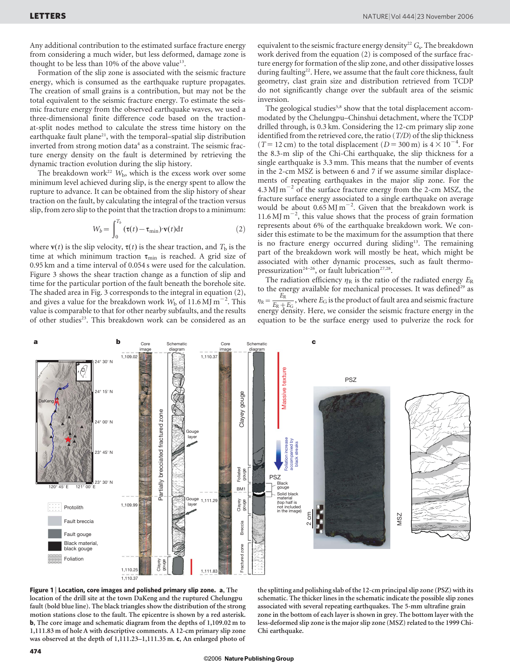Any additional contribution to the estimated surface fracture energy from considering a much wider, but less deformed, damage zone is thought to be less than 10% of the above value<sup>13</sup>.

Formation of the slip zone is associated with the seismic fracture energy, which is consumed as the earthquake rupture propagates. The creation of small grains is a contribution, but may not be the total equivalent to the seismic fracture energy. To estimate the seismic fracture energy from the observed earthquake waves, we used a three-dimensional finite difference code based on the tractionat-split nodes method to calculate the stress time history on the earthquake fault plane<sup>21</sup>, with the temporal–spatial slip distribution inverted from strong motion data<sup>4</sup> as a constraint. The seismic fracture energy density on the fault is determined by retrieving the dynamic traction evolution during the slip history.

The breakdown work<sup>22</sup>  $W<sub>b</sub>$ , which is the excess work over some minimum level achieved during slip, is the energy spent to allow the rupture to advance. It can be obtained from the slip history of shear traction on the fault, by calculating the integral of the traction versus slip, from zero slip to the point that the traction drops to a minimum:

$$
W_b = \int_0^{T_b} (\tau(t) - \tau_{\min}) \cdot \mathbf{v}(t) dt
$$
 (2)

where  $\mathbf{v}(t)$  is the slip velocity,  $\mathbf{\tau}(t)$  is the shear traction, and  $T_{\rm b}$  is the time at which minimum traction  $\tau_{\min}$  is reached. A grid size of 0.95 km and a time interval of 0.054 s were used for the calculation. Figure 3 shows the shear traction change as a function of slip and time for the particular portion of the fault beneath the borehole site. The shaded area in Fig. 3 corresponds to the integral in equation (2), and gives a value for the breakdown work  $W_b$  of 11.6 MJ m<sup>-2</sup>. This value is comparable to that for other nearby subfaults, and the results of other studies<sup>23</sup>. This breakdown work can be considered as an equivalent to the seismic fracture energy density<sup>22</sup>  $G_s$ . The breakdown work derived from the equation (2) is composed of the surface fracture energy for formation of the slip zone, and other dissipative losses during faulting<sup>22</sup>. Here, we assume that the fault core thickness, fault geometry, clast grain size and distribution retrieved from TCDP do not significantly change over the subfault area of the seismic inversion.

The geological studies<sup>5,8</sup> show that the total displacement accommodated by the Chelungpu–Chinshui detachment, where the TCDP drilled through, is 0.3 km. Considering the 12-cm primary slip zone identified from the retrieved core, the ratio (T/D) of the slip thickness (T = 12 cm) to the total displacement ( $D = 300$  m) is  $4 \times 10^{-4}$ . For the 8.3-m slip of the Chi-Chi earthquake, the slip thickness for a single earthquake is 3.3 mm. This means that the number of events in the 2-cm MSZ is between 6 and 7 if we assume similar displacements of repeating earthquakes in the major slip zone. For the 4.3 MJ  $\mathrm{m}^{-2}$  of the surface fracture energy from the 2-cm MSZ, the fracture surface energy associated to a single earthquake on average would be about  $0.65$  MJ m<sup>-2</sup>. Given that the breakdown work is 11.6 MJ  $m^{-2}$ , this value shows that the process of grain formation represents about 6% of the earthquake breakdown work. We consider this estimate to be the maximum for the assumption that there is no fracture energy occurred during sliding $13$ . The remaining part of the breakdown work will mostly be heat, which might be associated with other dynamic processes, such as fault thermopressurization<sup>24-26</sup>, or fault lubrication<sup>27,28</sup>.

The radiation efficiency  $\eta_R$  is the ratio of the radiated energy  $E_R$ to the energy available for mechanical processes. It was defined<sup>29</sup> as  $\eta_{\rm R} = \frac{E_{\rm R}}{E_{\rm R} + E_{\rm G}}$ , where  $E_{\rm G}$  is the product of fault area and seismic fracture energy density. Here, we consider the seismic fracture energy in the equation to be the surface energy used to pulverize the rock for



Figure 1 | Location, core images and polished primary slip zone.  $a$ , The location of the drill site at the town DaKeng and the ruptured Chelungpu fault (bold blue line). The black triangles show the distribution of the strong motion stations close to the fault. The epicentre is shown by a red asterisk. b, The core image and schematic diagram from the depths of 1,109.02 m to 1,111.83 m of hole A with descriptive comments. A 12-cm primary slip zone was observed at the depth of 1,111.23–1,111.35 m. c, An enlarged photo of

the splitting and polishing slab of the 12-cm principal slip zone (PSZ) with its schematic. The thicker lines in the schematic indicate the possible slip zones associated with several repeating earthquakes. The 5-mm ultrafine grain zone in the bottom of each layer is shown in grey. The bottom layer with the less-deformed slip zone is the major slip zone (MSZ) related to the 1999 Chi-Chi earthquake.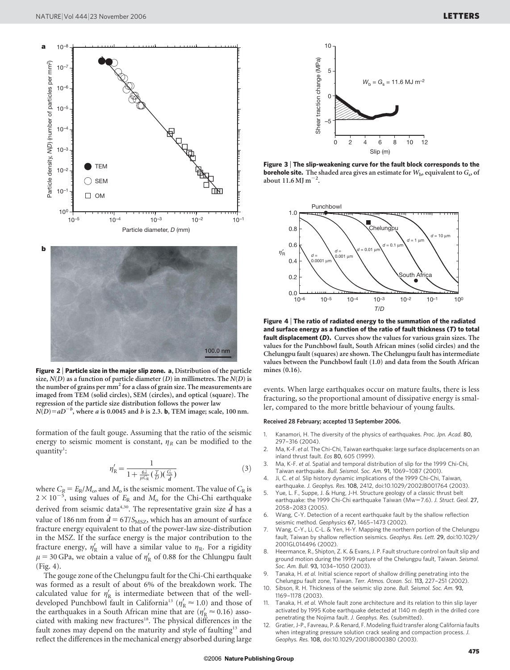

Figure 2 | Particle size in the major slip zone. a, Distribution of the particle size,  $N(D)$  as a function of particle diameter (D) in millimetres. The  $N(D)$  is the number of grains per mm<sup>2</sup> for a class of grain size. The measurements are imaged from TEM (solid circles), SEM (circles), and optical (square). The regression of the particle size distribution follows the power law  $N(D)=aD^{-b}$ , where a is 0.0045 and b is 2.3. **b**, TEM image; scale, 100 nm.

formation of the fault gouge. Assuming that the ratio of the seismic energy to seismic moment is constant,  $\eta_R$  can be modified to the quantity<sup>1</sup>:

$$
\eta_{\mathcal{R}}' = \frac{1}{1 + \frac{6\lambda}{\mu C_{\mathcal{R}}}\left(\frac{T}{D}\right)\left(\frac{C_{\varsigma}}{\hat{d}}\right)}\tag{3}
$$

where  $C_R = E_R/M_o$ , and  $M_o$  is the seismic moment. The value of  $C_R$  is  $2 \times 10^{-5}$ , using values of  $E_R$  and  $M_0$  for the Chi-Chi earthquake derived from seismic data<sup>4,30</sup>. The representative grain size  $\hat{d}$  has a value of 186 nm from  $\hat{d} = 6T/S<sub>MSZ</sub>$ , which has an amount of surface fracture energy equivalent to that of the power-law size-distribution in the MSZ. If the surface energy is the major contribution to the fracture energy,  $\eta'_R$  will have a similar value to  $\eta_R$ . For a rigidity  $\mu$  = 30 GPa, we obtain a value of  $\eta'_R$  of 0.88 for the Chlungpu fault (Fig. 4).

The gouge zone of the Chelungpu fault for the Chi-Chi earthquake was formed as a result of about 6% of the breakdown work. The calculated value for  $\eta'_R$  is intermediate between that of the welldeveloped Punchbowl fault in California<sup>13</sup> ( $\eta'_R \approx 1.0$ ) and those of the earthquakes in a South African mine that are  $(\eta'_R \approx 0.16)$  associated with making new fractures<sup>18</sup>. The physical differences in the fault zones may depend on the maturity and style of faulting<sup>13</sup> and reflect the differences in the mechanical energy absorbed during large



Figure 3 <sup>|</sup> The slip-weakening curve for the fault block corresponds to the borehole site. The shaded area gives an estimate for  $W_{\rm b}$ , equivalent to  $G_{\rm s}$ , of about  $11.6$  MJ m<sup>-2</sup>.



Figure 4 <sup>|</sup> The ratio of radiated energy to the summation of the radiated and surface energy as a function of the ratio of fault thickness (T) to total fault displacement (D). Curves show the values for various grain sizes. The values for the Punchbowl fault, South African mines (solid circles) and the Chelungpu fault (squares) are shown. The Chelungpu fault has intermediate values between the Punchbowl fault (1.0) and data from the South African mines (0.16).

events. When large earthquakes occur on mature faults, there is less fracturing, so the proportional amount of dissipative energy is smaller, compared to the more brittle behaviour of young faults.

## Received 28 February; accepted 13 September 2006.

- 1. Kanamori, H. The diversity of the physics of earthquakes. Proc. Jpn. Acad. 80, 297–316 (2004).
- 2. Ma, K-F. et al. The Chi-Chi, Taiwan earthquake: large surface displacements on an inland thrust fault. Eos 80, 605 (1999).
- 3. Ma, K-F. et al. Spatial and temporal distribution of slip for the 1999 Chi-Chi, Taiwan earthquake. Bull. Seismol. Soc. Am. 91, 1069–1087 (2001).
- 4. Ji, C. et al. Slip history dynamic implications of the 1999 Chi-Chi, Taiwan, earthquake. J. Geophys. Res. 108, 2412, doi:10.1029/2002JB001764 (2003).
- 5. Yue, L. F., Suppe, J. & Hung, J-H. Structure geology of a classic thrust belt earthquake: the 1999 Chi-Chi earthquake Taiwan (Mw=7.6). J. Struct. Geol. 27, 2058–2083 (2005).
- 6. Wang, C-Y. Detection of a recent earthquake fault by the shallow reflection seismic method. Geophysics 67, 1465–1473 (2002).
- 7. Wang, C-Y., Li, C-L. & Yen, H-Y. Mapping the northern portion of the Chelungpu fault, Taiwan by shallow reflection seismics. Geophys. Res. Lett. 29, doi:10.1029/ 2001GL014496 (2002).
- Heermance, R., Shipton, Z. K. & Evans, J. P. Fault structure control on fault slip and ground motion during the 1999 rupture of the Chelungpu fault, Taiwan. Seismol. Soc. Am. Bull. 93, 1034–1050 (2003).
- Tanaka, H. et al. Initial science report of shallow drilling penetrating into the Chelungpu fault zone, Taiwan. Terr. Atmos. Ocean. Sci. 113, 227–251 (2002).
- 10. Sibson, R. H. Thickness of the seismic slip zone. Bull. Seismol. Soc. Am. 93, 1169–1178 (2003).
- 11. Tanaka, H. et al. Whole fault zone architecture and its relation to thin slip layer activated by 1995 Kobe earthquake detected at 1140 m depth in the drilled core penetrating the Nojima fault. J. Geophys. Res. (submitted).
- 12. Gratier, J-P., Favreau, P. & Renard, F. Modeling fluid transfer along California faults when integrating pressure solution crack sealing and compaction process. J. Geophys. Res. 108, doi:10.1029/2001JB000380 (2003).